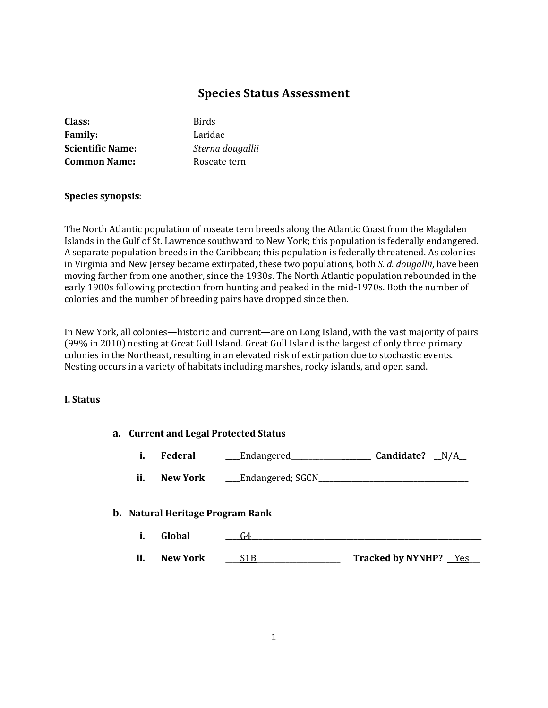# **Species Status Assessment**

| Class:                  | <b>Birds</b>     |
|-------------------------|------------------|
| <b>Family:</b>          | Laridae          |
| <b>Scientific Name:</b> | Sterna dougallii |
| <b>Common Name:</b>     | Roseate tern     |
|                         |                  |

# **Species synopsis**:

The North Atlantic population of roseate tern breeds along the Atlantic Coast from the Magdalen Islands in the Gulf of St. Lawrence southward to New York; this population is federally endangered. A separate population breeds in the Caribbean; this population is federally threatened. As colonies in Virginia and New Jersey became extirpated, these two populations, both *S. d. dougallii*, have been moving farther from one another, since the 1930s. The North Atlantic population rebounded in the early 1900s following protection from hunting and peaked in the mid-1970s. Both the number of colonies and the number of breeding pairs have dropped since then.

In New York, all colonies—historic and current—are on Long Island, with the vast majority of pairs (99% in 2010) nesting at Great Gull Island. Great Gull Island is the largest of only three primary colonies in the Northeast, resulting in an elevated risk of extirpation due to stochastic events. Nesting occurs in a variety of habitats including marshes, rocky islands, and open sand.

# **I. Status**

| a. Current and Legal Protected Status |                                         |                  |                       |
|---------------------------------------|-----------------------------------------|------------------|-----------------------|
| i.                                    | <b>Federal</b>                          | Endangered       | Candidate?<br>N/A     |
| ii.                                   | <b>New York</b>                         | Endangered; SGCN |                       |
|                                       | <b>b.</b> Natural Heritage Program Rank |                  |                       |
| i.                                    | Global                                  | G4               |                       |
| ii.                                   | <b>New York</b>                         | S1B.             | Tracked by NYNHP? Yes |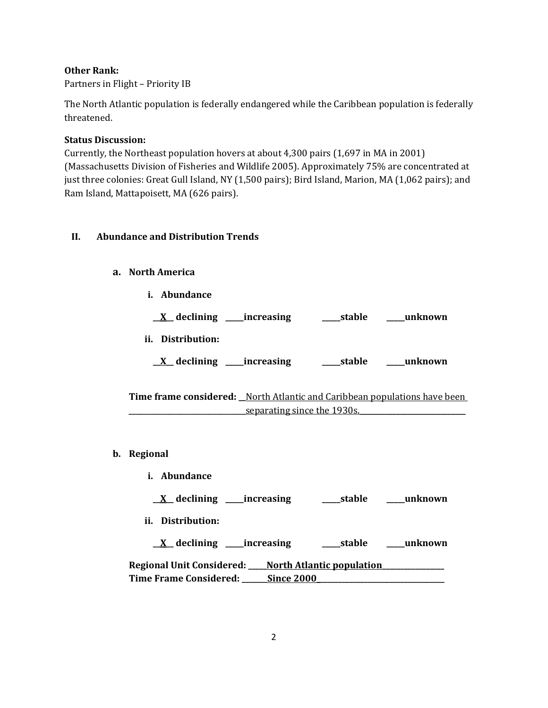# **Other Rank:**

Partners in Flight – Priority IB

The North Atlantic population is federally endangered while the Caribbean population is federally threatened.

# **Status Discussion:**

Currently, the Northeast population hovers at about 4,300 pairs (1,697 in MA in 2001) (Massachusetts Division of Fisheries and Wildlife 2005). Approximately 75% are concentrated at just three colonies: Great Gull Island, NY (1,500 pairs); Bird Island, Marion, MA (1,062 pairs); and Ram Island, Mattapoisett, MA (626 pairs).

# **II. Abundance and Distribution Trends**

# **a. North America**

**i. Abundance**

| declining<br>_increasing | stable | unknown |
|--------------------------|--------|---------|
| ii. Distribution:        |        |         |
| declining<br>increasing  | stable | unknown |

**Time frame considered: \_\_**North Atlantic and Caribbean populations have been separating since the 1930s.

- **b. Regional**
	- **i. Abundance**
		- **\_\_X\_\_ declining \_\_\_\_\_increasing \_\_\_\_\_stable \_\_\_\_\_unknown**
	- **ii. Distribution:**

**\_\_X\_\_ declining \_\_\_\_\_increasing \_\_\_\_\_stable \_\_\_\_\_unknown Regional Unit Considered: \_\_\_\_\_North Atlantic population\_\_\_\_\_\_\_\_\_\_\_\_\_\_\_\_\_**

| <b>Time Frame Considered:</b> | Since 2000 |  |
|-------------------------------|------------|--|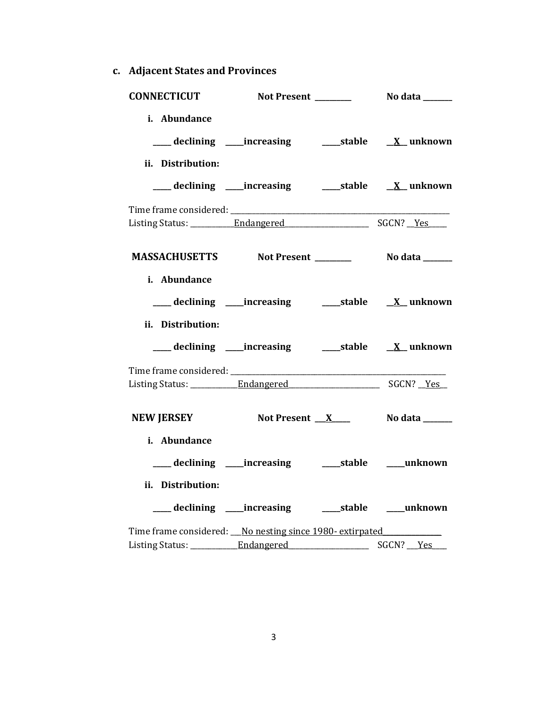**c. Adjacent States and Provinces**

| CONNECTICUT Not Present __________ No data ______        |                                                           |  |
|----------------------------------------------------------|-----------------------------------------------------------|--|
| i. Abundance                                             | ___ declining ____increasing ______stable ___ X__unknown  |  |
| ii. Distribution:                                        | ___ declining ____increasing ______stable ___ X__unknown  |  |
|                                                          |                                                           |  |
|                                                          |                                                           |  |
| i. Abundance<br>ii. Distribution:                        |                                                           |  |
|                                                          | ___ declining ____increasing ______stable ___ X__unknown  |  |
|                                                          |                                                           |  |
| NEW JERSEY Not Present X No data _____                   |                                                           |  |
| i. Abundance<br>ii. Distribution:                        | ____ declining ____ increasing ______ stable ____ unknown |  |
|                                                          | ___ declining ____increasing ______stable ____unknown     |  |
| Time frame considered: No nesting since 1980- extirpated |                                                           |  |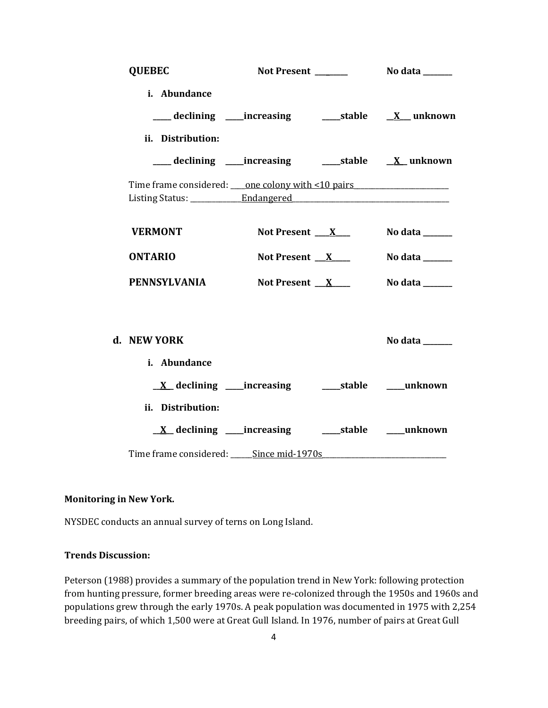| <b>QUEBEC</b>     |                                                                                                                |                |
|-------------------|----------------------------------------------------------------------------------------------------------------|----------------|
| i. Abundance      | ____ declining ____increasing ________stable ____ <u>X</u> ___ unknown                                         |                |
| ii. Distribution: |                                                                                                                |                |
|                   | ___ declining ____increasing ______stable ___ X__unknown                                                       |                |
|                   | Time frame considered: <u>one colony with &lt;10 pairs</u>                                                     |                |
| <b>VERMONT</b>    | Not Present $\mathbf{X}$                                                                                       | No data ______ |
| <b>ONTARIO</b>    | Not Present $X$                                                                                                | No data ______ |
| PENNSYLVANIA      | Not Present $X$                                                                                                | No data ______ |
| d. NEW YORK       |                                                                                                                | No data ______ |
| i. Abundance      |                                                                                                                |                |
|                   |                                                                                                                |                |
| ii. Distribution: |                                                                                                                |                |
|                   | <u>X</u> declining ____increasing ______stable ____unknown                                                     |                |
|                   | Time frame considered: Since mid-1970s Superman Constant Constant Constant Constant Constant Constant Constant |                |

### **Monitoring in New York.**

NYSDEC conducts an annual survey of terns on Long Island.

## **Trends Discussion:**

Peterson (1988) provides a summary of the population trend in New York: following protection from hunting pressure, former breeding areas were re-colonized through the 1950s and 1960s and populations grew through the early 1970s. A peak population was documented in 1975 with 2,254 breeding pairs, of which 1,500 were at Great Gull Island. In 1976, number of pairs at Great Gull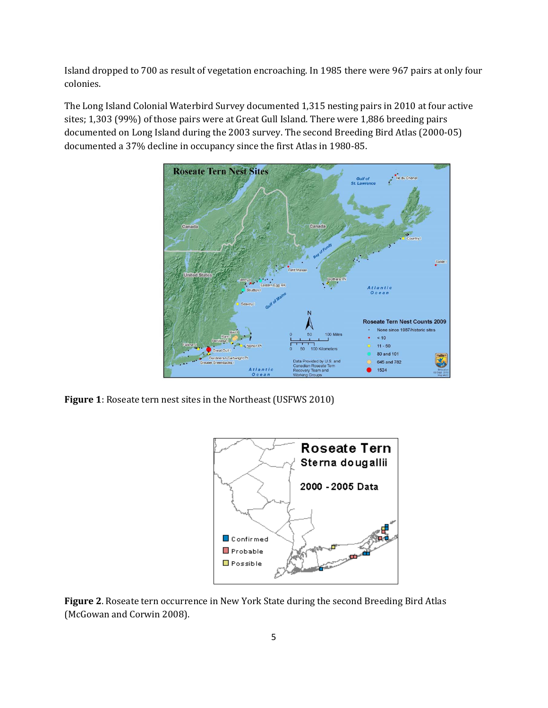Island dropped to 700 as result of vegetation encroaching. In 1985 there were 967 pairs at only four colonies.

The Long Island Colonial Waterbird Survey documented 1,315 nesting pairs in 2010 at four active sites; 1,303 (99%) of those pairs were at Great Gull Island. There were 1,886 breeding pairs documented on Long Island during the 2003 survey. The second Breeding Bird Atlas (2000-05) documented a 37% decline in occupancy since the first Atlas in 1980-85.



**Figure 1**: Roseate tern nest sites in the Northeast (USFWS 2010)



**Figure 2**. Roseate tern occurrence in New York State during the second Breeding Bird Atlas (McGowan and Corwin 2008).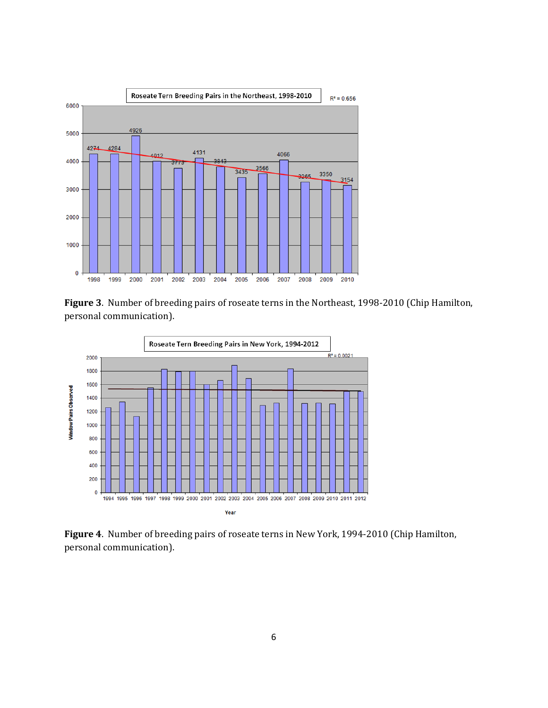

**Figure 3**. Number of breeding pairs of roseate terns in the Northeast, 1998-2010 (Chip Hamilton, personal communication).



**Figure 4**. Number of breeding pairs of roseate terns in New York, 1994-2010 (Chip Hamilton, personal communication).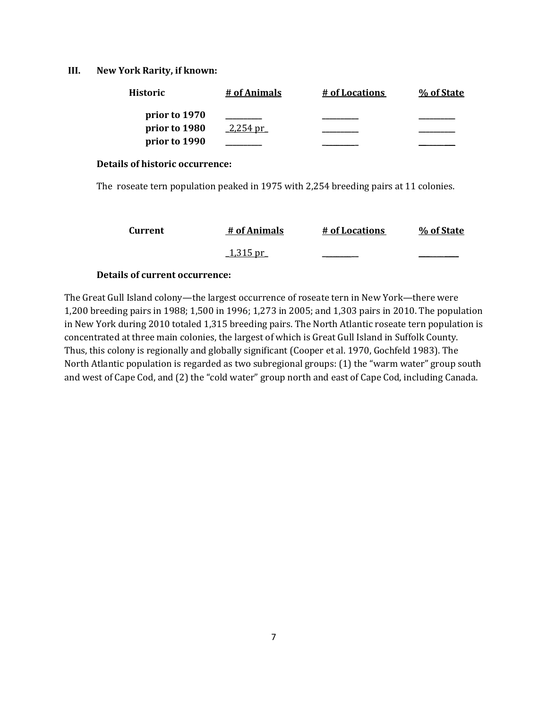### **III. New York Rarity, if known:**

| <b>Historic</b> | # of Animals | # of Locations | % of State |
|-----------------|--------------|----------------|------------|
| prior to 1970   |              |                |            |
| prior to 1980   | 2.254 pr     |                |            |
| prior to 1990   |              |                |            |

#### **Details of historic occurrence:**

The roseate tern population peaked in 1975 with 2,254 breeding pairs at 11 colonies.

| Current | # of Animals     | # of Locations | % of State |
|---------|------------------|----------------|------------|
|         | <u> 1,315 pr</u> |                |            |

# **Details of current occurrence:**

The Great Gull Island colony—the largest occurrence of roseate tern in New York—there were 1,200 breeding pairs in 1988; 1,500 in 1996; 1,273 in 2005; and 1,303 pairs in 2010. The population in New York during 2010 totaled 1,315 breeding pairs. The North Atlantic roseate tern population is concentrated at three main colonies, the largest of which is Great Gull Island in Suffolk County. Thus, this colony is regionally and globally significant (Cooper et al. 1970, Gochfeld 1983). The North Atlantic population is regarded as two subregional groups: (1) the "warm water" group south and west of Cape Cod, and (2) the "cold water" group north and east of Cape Cod, including Canada.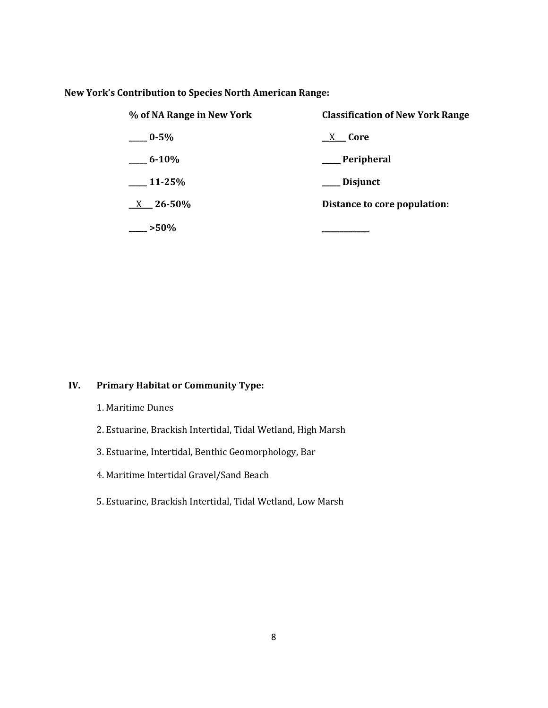### **New York's Contribution to Species North American Range:**

| % of NA Range in New York | <b>Classification of New York Range</b> |  |
|---------------------------|-----------------------------------------|--|
| $-0.5\%$                  | X Core                                  |  |
| $-6-10\%$                 | __ Peripheral                           |  |
| $11-25%$                  | Disjunct                                |  |
| $X = 26 - 50\%$           | Distance to core population:            |  |
| $-250%$                   |                                         |  |

# **IV. Primary Habitat or Community Type:**

- 1. Maritime Dunes
- 2. Estuarine, Brackish Intertidal, Tidal Wetland, High Marsh
- 3. Estuarine, Intertidal, Benthic Geomorphology, Bar
- 4. Maritime Intertidal Gravel/Sand Beach
- 5. Estuarine, Brackish Intertidal, Tidal Wetland, Low Marsh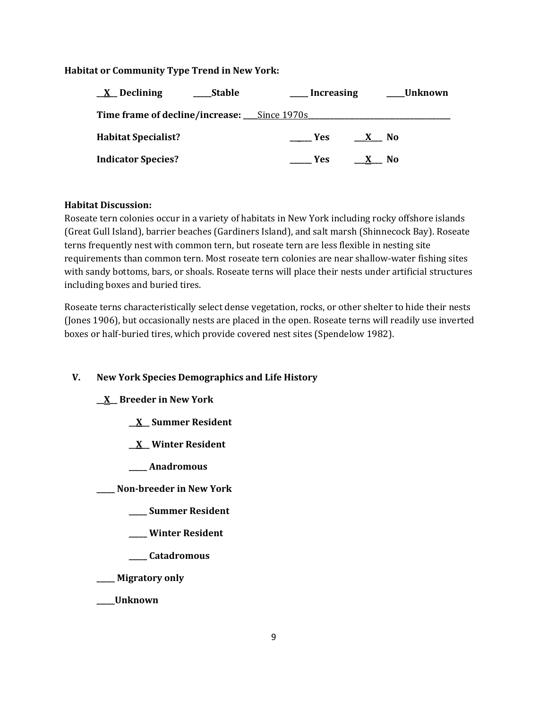# **Habitat or Community Type Trend in New York:**

| <u>X</u> Declining<br>Stable                       | __Increasing                | _Unknown |
|----------------------------------------------------|-----------------------------|----------|
| <b>Time frame of decline/increase:</b> Since 1970s |                             |          |
| <b>Habitat Specialist?</b>                         | Yes<br>- No<br>$\mathbf{X}$ |          |
| <b>Indicator Species?</b>                          | <b>Example SE</b><br>X No   |          |

# **Habitat Discussion:**

Roseate tern colonies occur in a variety of habitats in New York including rocky offshore islands (Great Gull Island), barrier beaches (Gardiners Island), and salt marsh (Shinnecock Bay). Roseate terns frequently nest with common tern, but roseate tern are less flexible in nesting site requirements than common tern. Most roseate tern colonies are near shallow-water fishing sites with sandy bottoms, bars, or shoals. Roseate terns will place their nests under artificial structures including boxes and buried tires.

Roseate terns characteristically select dense vegetation, rocks, or other shelter to hide their nests (Jones 1906), but occasionally nests are placed in the open. Roseate terns will readily use inverted boxes or half-buried tires, which provide covered nest sites (Spendelow 1982).

# **V. New York Species Demographics and Life History**

# **\_\_X\_\_ Breeder in New York**

- **\_\_X\_\_ Summer Resident**
- **\_\_X\_\_ Winter Resident**
- **\_\_\_\_\_ Anadromous**

**\_\_\_\_\_ Non-breeder in New York**

- **\_\_\_\_\_ Summer Resident**
- **\_\_\_\_\_ Winter Resident**
- **\_\_\_\_\_ Catadromous**
- **\_\_\_\_\_ Migratory only**
- **\_\_\_\_\_Unknown**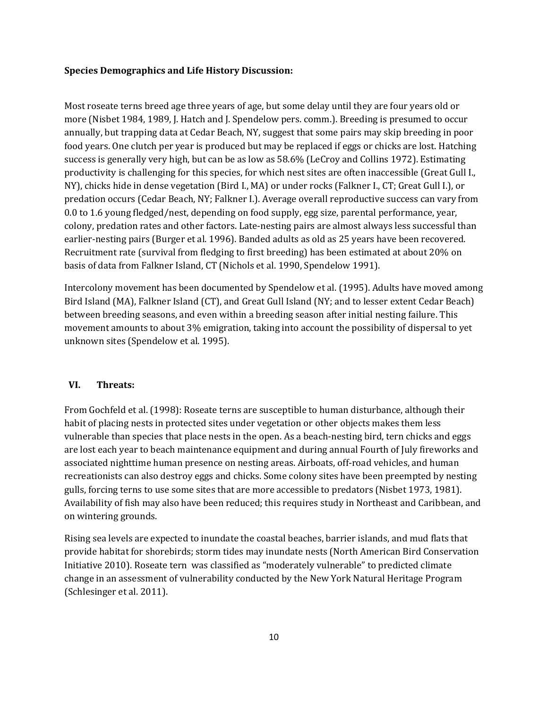#### **Species Demographics and Life History Discussion:**

Most roseate terns breed age three years of age, but some delay until they are four years old or more (Nisbet 1984, 1989, J. Hatch and J. Spendelow pers. comm.). Breeding is presumed to occur annually, but trapping data at Cedar Beach, NY, suggest that some pairs may skip breeding in poor food years. One clutch per year is produced but may be replaced if eggs or chicks are lost. Hatching success is generally very high, but can be as low as 58.6% (LeCroy and Collins 1972). Estimating productivity is challenging for this species, for which nest sites are often inaccessible (Great Gull I., NY), chicks hide in dense vegetation (Bird I., MA) or under rocks (Falkner I., CT; Great Gull I.), or predation occurs (Cedar Beach, NY; Falkner I.). Average overall reproductive success can vary from 0.0 to 1.6 young fledged/nest, depending on food supply, egg size, parental performance, year, colony, predation rates and other factors. Late-nesting pairs are almost always less successful than earlier-nesting pairs (Burger et al. 1996). Banded adults as old as 25 years have been recovered. Recruitment rate (survival from fledging to first breeding) has been estimated at about 20% on basis of data from Falkner Island, CT (Nichols et al. 1990, Spendelow 1991).

Intercolony movement has been documented by Spendelow et al. (1995). Adults have moved among Bird Island (MA), Falkner Island (CT), and Great Gull Island (NY; and to lesser extent Cedar Beach) between breeding seasons, and even within a breeding season after initial nesting failure. This movement amounts to about 3% emigration, taking into account the possibility of dispersal to yet unknown sites (Spendelow et al. 1995).

### **VI. Threats:**

From Gochfeld et al. (1998): Roseate terns are susceptible to human disturbance, although their habit of placing nests in protected sites under vegetation or other objects makes them less vulnerable than species that place nests in the open. As a beach-nesting bird, tern chicks and eggs are lost each year to beach maintenance equipment and during annual Fourth of July fireworks and associated nighttime human presence on nesting areas. Airboats, off-road vehicles, and human recreationists can also destroy eggs and chicks. Some colony sites have been preempted by nesting gulls, forcing terns to use some sites that are more accessible to predators (Nisbet 1973, 1981). Availability of fish may also have been reduced; this requires study in Northeast and Caribbean, and on wintering grounds.

Rising sea levels are expected to inundate the coastal beaches, barrier islands, and mud flats that provide habitat for shorebirds; storm tides may inundate nests (North American Bird Conservation Initiative 2010). Roseate tern was classified as "moderately vulnerable" to predicted climate change in an assessment of vulnerability conducted by the New York Natural Heritage Program (Schlesinger et al. 2011).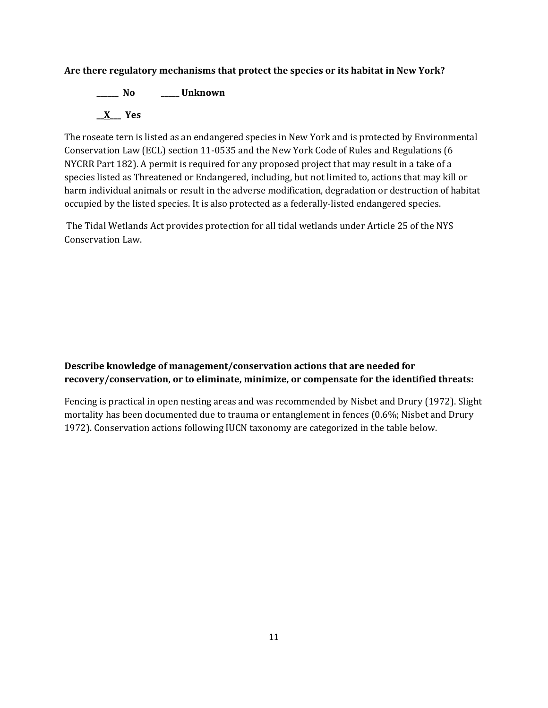# **Are there regulatory mechanisms that protect the species or its habitat in New York?**

**\_\_\_\_\_\_ No \_\_\_\_\_ Unknown \_\_X\_\_\_ Yes** 

The roseate tern is listed as an endangered species in New York and is protected by Environmental Conservation Law (ECL) section 11-0535 and the New York Code of Rules and Regulations (6 NYCRR Part 182). A permit is required for any proposed project that may result in a take of a species listed as Threatened or Endangered, including, but not limited to, actions that may kill or harm individual animals or result in the adverse modification, degradation or destruction of habitat occupied by the listed species. It is also protected as a federally-listed endangered species.

The Tidal Wetlands Act provides protection for all tidal wetlands under Article 25 of the NYS Conservation Law.

# **Describe knowledge of management/conservation actions that are needed for recovery/conservation, or to eliminate, minimize, or compensate for the identified threats:**

Fencing is practical in open nesting areas and was recommended by Nisbet and Drury (1972). Slight mortality has been documented due to trauma or entanglement in fences (0.6%; Nisbet and Drury 1972). Conservation actions following IUCN taxonomy are categorized in the table below.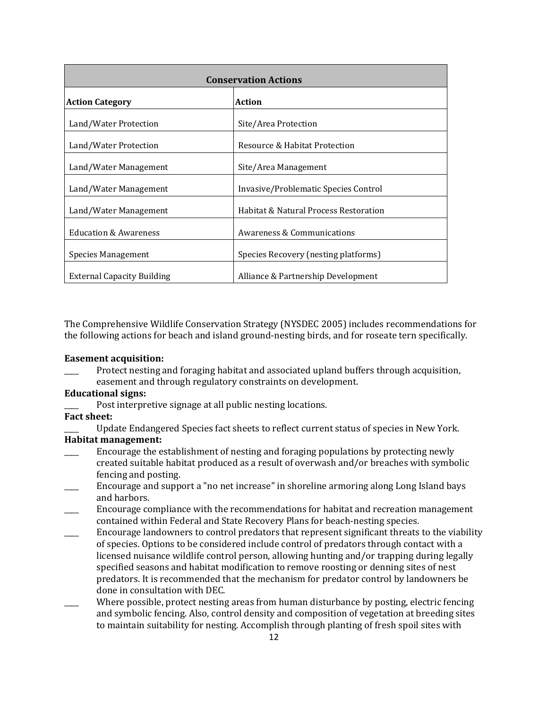| <b>Conservation Actions</b>       |                                       |  |
|-----------------------------------|---------------------------------------|--|
| <b>Action Category</b>            | Action                                |  |
| Land/Water Protection             | Site/Area Protection                  |  |
| Land/Water Protection             | Resource & Habitat Protection         |  |
| Land/Water Management             | Site/Area Management                  |  |
| Land/Water Management             | Invasive/Problematic Species Control  |  |
| Land/Water Management             | Habitat & Natural Process Restoration |  |
| <b>Education &amp; Awareness</b>  | Awareness & Communications            |  |
| Species Management                | Species Recovery (nesting platforms)  |  |
| <b>External Capacity Building</b> | Alliance & Partnership Development    |  |

The Comprehensive Wildlife Conservation Strategy (NYSDEC 2005) includes recommendations for the following actions for beach and island ground-nesting birds, and for roseate tern specifically.

#### **Easement acquisition:**

Protect nesting and foraging habitat and associated upland buffers through acquisition, easement and through regulatory constraints on development.

### **Educational signs:**

Post interpretive signage at all public nesting locations.

# **Fact sheet:**

Update Endangered Species fact sheets to reflect current status of species in New York.

# **Habitat management:**

- Encourage the establishment of nesting and foraging populations by protecting newly created suitable habitat produced as a result of overwash and/or breaches with symbolic fencing and posting.
- \_\_\_\_ Encourage and support a "no net increase" in shoreline armoring along Long Island bays and harbors.
- \_\_\_\_ Encourage compliance with the recommendations for habitat and recreation management contained within Federal and State Recovery Plans for beach-nesting species.
- \_\_\_\_ Encourage landowners to control predators that represent significant threats to the viability of species. Options to be considered include control of predators through contact with a licensed nuisance wildlife control person, allowing hunting and/or trapping during legally specified seasons and habitat modification to remove roosting or denning sites of nest predators. It is recommended that the mechanism for predator control by landowners be done in consultation with DEC.
- Where possible, protect nesting areas from human disturbance by posting, electric fencing and symbolic fencing. Also, control density and composition of vegetation at breeding sites to maintain suitability for nesting. Accomplish through planting of fresh spoil sites with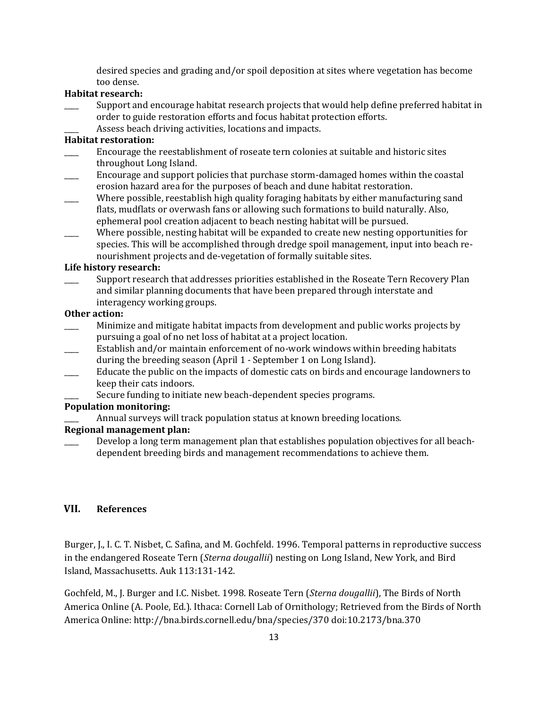desired species and grading and/or spoil deposition at sites where vegetation has become too dense.

## **Habitat research:**

- Support and encourage habitat research projects that would help define preferred habitat in order to guide restoration efforts and focus habitat protection efforts.
	- Assess beach driving activities, locations and impacts.

### **Habitat restoration:**

- \_\_\_\_ Encourage the reestablishment of roseate tern colonies at suitable and historic sites throughout Long Island.
- \_\_\_\_ Encourage and support policies that purchase storm-damaged homes within the coastal erosion hazard area for the purposes of beach and dune habitat restoration.
- Where possible, reestablish high quality foraging habitats by either manufacturing sand flats, mudflats or overwash fans or allowing such formations to build naturally. Also, ephemeral pool creation adjacent to beach nesting habitat will be pursued.
- Where possible, nesting habitat will be expanded to create new nesting opportunities for species. This will be accomplished through dredge spoil management, input into beach renourishment projects and de-vegetation of formally suitable sites.

#### **Life history research:**

\_\_\_\_ Support research that addresses priorities established in the Roseate Tern Recovery Plan and similar planning documents that have been prepared through interstate and interagency working groups.

#### **Other action:**

- \_\_\_\_ Minimize and mitigate habitat impacts from development and public works projects by pursuing a goal of no net loss of habitat at a project location.
- Establish and/or maintain enforcement of no-work windows within breeding habitats during the breeding season (April 1 - September 1 on Long Island).
- Educate the public on the impacts of domestic cats on birds and encourage landowners to keep their cats indoors.
	- Secure funding to initiate new beach-dependent species programs.

#### **Population monitoring:**

Annual surveys will track population status at known breeding locations.

#### **Regional management plan:**

Develop a long term management plan that establishes population objectives for all beachdependent breeding birds and management recommendations to achieve them.

### **VII. References**

Burger, J., I. C. T. Nisbet, C. Safina, and M. Gochfeld. 1996. Temporal patterns in reproductive success in the endangered Roseate Tern (*Sterna dougallii*) nesting on Long Island, New York, and Bird Island, Massachusetts. Auk 113:131-142.

Gochfeld, M., J. Burger and I.C. Nisbet. 1998. Roseate Tern (*Sterna dougallii*), The Birds of North America Online (A. Poole, Ed.). Ithaca: Cornell Lab of Ornithology; Retrieved from the Birds of North America Online[: http://bna.birds.cornell.edu/bna/species/370](http://bna.birds.cornell.edu/bna/species/370) [doi:10.2173/bna.370](http://dx.doi.org/10.2173/bna.370)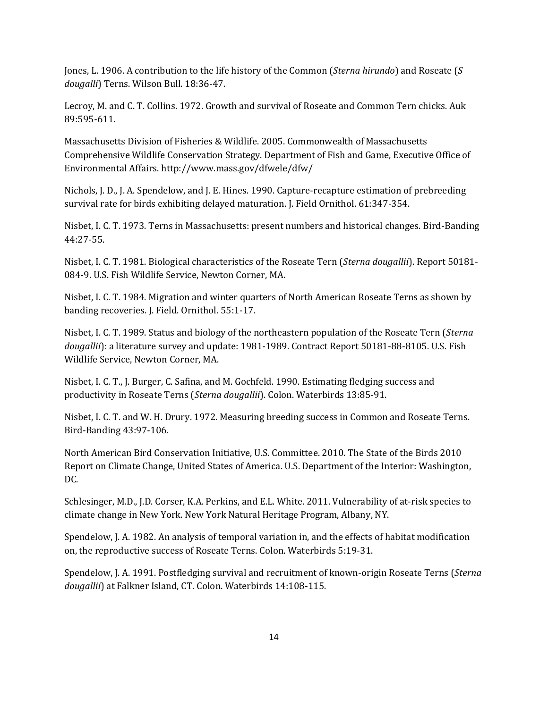Jones, L. 1906. A contribution to the life history of the Common (*Sterna hirundo*) and Roseate (*S dougalli*) Terns. Wilson Bull. 18:36-47.

Lecroy, M. and C. T. Collins. 1972. Growth and survival of Roseate and Common Tern chicks. Auk 89:595-611.

Massachusetts Division of Fisheries & Wildlife. 2005. Commonwealth of Massachusetts Comprehensive Wildlife Conservation Strategy. Department of Fish and Game, Executive Office of Environmental Affairs. http://www.mass.gov/dfwele/dfw/

Nichols, J. D., J. A. Spendelow, and J. E. Hines. 1990. Capture-recapture estimation of prebreeding survival rate for birds exhibiting delayed maturation. J. Field Ornithol. 61:347-354.

Nisbet, I. C. T. 1973. Terns in Massachusetts: present numbers and historical changes. Bird-Banding 44:27-55.

Nisbet, I. C. T. 1981. Biological characteristics of the Roseate Tern (*Sterna dougallii*). Report 50181- 084-9. U.S. Fish Wildlife Service, Newton Corner, MA.

Nisbet, I. C. T. 1984. Migration and winter quarters of North American Roseate Terns as shown by banding recoveries. J. Field. Ornithol. 55:1-17.

Nisbet, I. C. T. 1989. Status and biology of the northeastern population of the Roseate Tern (*Sterna dougallii*): a literature survey and update: 1981-1989. Contract Report 50181-88-8105. U.S. Fish Wildlife Service, Newton Corner, MA.

Nisbet, I. C. T., J. Burger, C. Safina, and M. Gochfeld. 1990. Estimating fledging success and productivity in Roseate Terns (*Sterna dougallii*). Colon. Waterbirds 13:85-91.

Nisbet, I. C. T. and W. H. Drury. 1972. Measuring breeding success in Common and Roseate Terns. Bird-Banding 43:97-106.

North American Bird Conservation Initiative, U.S. Committee. 2010. The State of the Birds 2010 Report on Climate Change, United States of America. U.S. Department of the Interior: Washington, DC.

Schlesinger, M.D., J.D. Corser, K.A. Perkins, and E.L. White. 2011. Vulnerability of at-risk species to climate change in New York. New York Natural Heritage Program, Albany, NY.

Spendelow, J. A. 1982. An analysis of temporal variation in, and the effects of habitat modification on, the reproductive success of Roseate Terns. Colon. Waterbirds 5:19-31.

Spendelow, J. A. 1991. Postfledging survival and recruitment of known-origin Roseate Terns (*Sterna dougallii*) at Falkner Island, CT. Colon. Waterbirds 14:108-115.